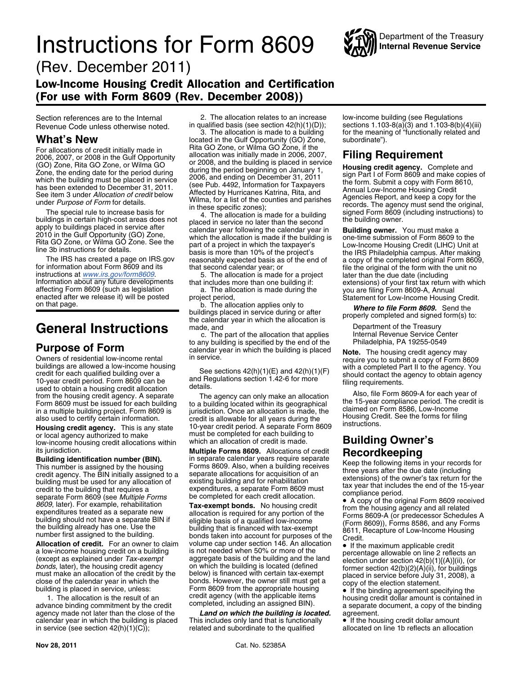# **Instructions for Form 8609** WAW Internal Revenue Service



(Rev. December 2011)

## Low-Income Housing Credit Allocation and Certification (For use with Form 8609 (Rev. December 2008))

**Purpose of Form**<br>
Owners of residential low-income rental<br>
building is specified by the end of the<br>
Dure of residential low-income rental<br>
buildings are allowed a low-income housing<br>
credit for each qualified building ove

**Housing credit agency.** This is any state 10-year credit period. A separate Form or local agency authorized to make must be completed for each building to low-income housing credit allocations within which an allocation o low-income housing credit allocations within which an allocation of credit is made. **Building Owner's**

agency made not later than the close of the **Land on which the building is located.** agreement.<br>
calendar year in which the building is placed This includes only land that is functionally **.** If the housing credit dollar a calendar year in which the building is placed This includes only land that is functionally  $\bullet$  If the housing credit dollar amount in service (see section 42(h)(1)(C)); related and subordinate to the qualified allocated o

Section references are to the Internal 2. The allocation relates to an increase<br>Revenue Code unless otherwise noted in qualified basis (see section 42(h)(1)(D));

**What's New located in the Gulf Opportunity (GO) Zone,** For allocations of credit initially made in Filta GO Zone, or Wilma GO Zone, if the Formal Conservation allocation was initially made in 2006, 2007,

the calendar year in which the allocation is<br>Ceneral Instructions<br>C. The part of the allocation that applies Department of the Treasury<br>Internal Revenue Service Center

c. The part of the allocation that applies Internal Revenue Service Cervice Center to any building is specified by the end of the Internal Philadelphia, PA 19255-0549

its jurisdiction.<br> **Building identification number (BIN).** in separate calendar years require separate<br>
This number is assigned by the housing<br>
credit agency. The BIN initially assigned to a<br>
building must be used for any

**Allocation of credit.** For an owner to claim volume cap under section 146. An allocation • If the maximum applicable credit a low-income housing credit on a building is not needed when 50% or more of the **redition** percen Allocation of credit. For an owner to claim volume cap under section 146. An allocation  $\epsilon$  or the leader than the section is not needed when 50% or more of the precentage allowable on line 2 reflects an expecting a sexp

related and subordinate to the qualified

Section references are to the Internal 2. The allocation relates to an increase low-income building (see Regulations<br>Revenue Code unless otherwise noted. in qualified basis (see section 42(h)(1)(D)); sections 1.103-8(a)(3) for the meaning of "functionally related and<br>subordinate").

The antiaction of the building in certain the building and interaction of 2000. 2007, or 2008 in the columb the building is placed in service. **Filling Requirement**<br>Con Zone, Rita GO Zone, Rita Go Zone, and the period begi

Become contract of the original Form 8609 received<br>
Become a separate the contract of the set of the set of the set of the set of the set of the set of the building should not have a separate BIN if<br>
the building already h

building is placed in service, unless:<br>
1. The allocation is the result of an<br>
advance binding commitment by the credit<br>
agency (with the applicable items<br>
agency made not later than the close of the<br> **Land on which the bu**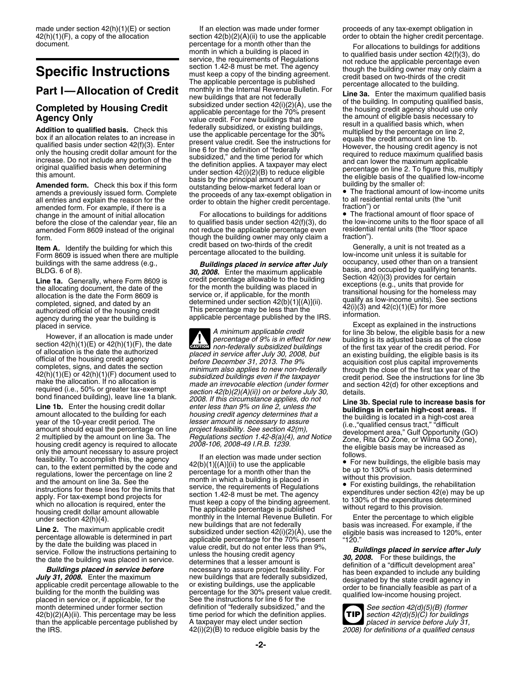amended form. For example, if there is a<br>change in the amount of initial allocation For allocations to buildings for additions • The fractional amount of floor space of<br>before the close of the calendar year, file an to qua before the close of the calendar year, file an to qualified basis under section 42(f)(3), do the low-income units to the floor space<br>amended Form 8609 instead of the original not reduce the applicable percentage even resid amended Form 8609 instead of the original not reduce the applicable percentage even residential<br>though the building owner may only claim a fraction").

**Item A.** Identify the building for which this credit based on two-thirds of the credit Generally, a unit is not treated as a<br>Form 8609 is issued when there are multiple percentage allocated to the building.<br>buildings with

than the applicable percentage published by A taxpayer may elect under section<br>the IRS.  $42(i)(2)(B)$  to reduce eligible basis by the

made under section 42(h)(1)(E) or section If an election was made under former proceeds of any tax-exempt obligation in  $42(h)(1)(F)$ , a copy of the allocation section  $42(b)(2)(A)(ii)$  to use the applicable order to obtain the h document.<br>
Specific Instructions<br>
and the applicable percentage is placed in<br>
Specific Instructions<br>
and the applicable percentage is published<br>
The applicable percentage is published<br>
The applicable percentage is publishe **Part I—Allocation of Credit** ment building the lateral Revenue Bulletin. For the building in computed by Housing Credit subsidized under section 42(i)(2)(A), use the building credit subsidized under section 42(i)(2)(A),

form.<br>though the building owner may only claim a<br>tredit based on two-thirds of the credit

buildings with the same address (e.g., **Buildings placed in service after July**  $BLDG. 6$  of 8).<br> **Example 1a.** Generally, where Form 8609 is credit percentage allowable to the building was placed in the allocating documen

However, if an allocation is made under<br>section 42(h)(1)(E) or 42(h)(1)(F), the date<br>of allocation is the date the authorized<br>of allocation is the date the authorized<br>of allocation is the date the authorized<br>of allocation  $\frac{1}{\text{Cautron}}$ of allocation is the date the authorized<br>
of the housing redict agency<br>
of crical of the housing credit agency<br>
of the foundation of the distribution of the distribution of the distribution of the distribution of the dist

 $\frac{1}{2}$  and the extent permitted by the code and  $\frac{42(b)(1)(1)(A)(i)}{2}$  and the applicable<br>
can be used to the code and the serve of the code and the applicable<br>
and the amount on line 3a. See the applicable and the appli and the announce of these lines at the limits that<br>instructions for these lines for the limits that<br>apply. For tax-exempt bond projects for section 1.42-8 must be met. The agency<br>which no allocation is required, enter the housing credit dollar amount allowable the applicable percentage is published to the percentage to which eligible<br>under section 42(h)(4). monthly in the Internal Revenue Bulletin. For Enter the percentage to which eligible **Line 2.** The maximum applicable credit<br>percentage allowable is determined in part<br>percentage allowable is determined in part<br>by the date the building was placed in<br>by the date the building was placed in<br>the date the build month determined under former section definition of "federally subsidized," and the *See section 42(d)(5)(B) (former*<br>42(b)(2)(A)(ii). This percentage may be less time period for which the definition applies. **TIP** section 42(b)(2)(A)(ii). This percentage may be less time period for which the definition applies. *section 42(d)(5)(C) for buildings* the IRS. 42(i)(2)(B) to reduce eligible basis by the *2008) for definitions of a qualified census*

order to obtain the higher credit percentage.

agency during the year the building is applicable percentage published by the IRS.<br>placed in service.<br>A minimum applicable credit for line 3b below, the eligible basis for a net allows in the instructions of the the instru

**TIP**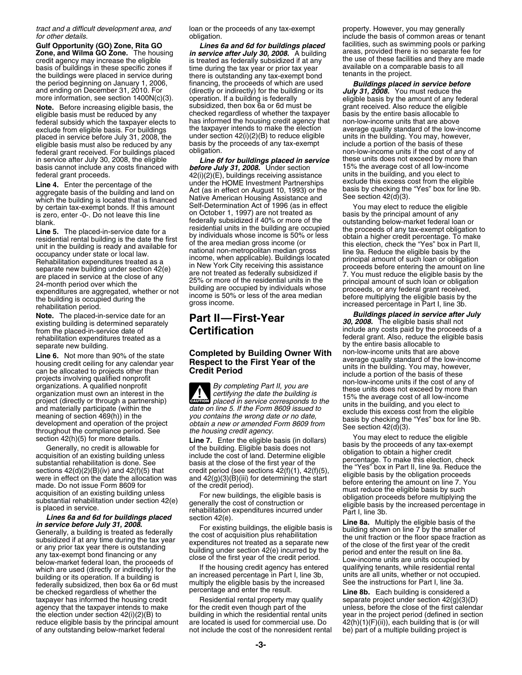*tract and a difficult development area, and* loan or the proceeds of any tax-exempt property. However, you may generally<br>for other details. by property obligation. by protoking the basis of common areas or

**Note.** Before increasing eligible basis, the subsidized, then box 6a or 6d must be grant received. Also reduce the eligit eligible basis allocable to eligit eligible basis allocable to eligit federal subsidy which the taxpayer elects to has informed the housing credit agency that non-low-income units that are above<br>exclude from eligible basis. For buildings the taxpayer intends to make the election average qual exclude from eligible basis. For buildings the taxpayer intends to make the election average quality standard of the low-inco<br>placed in service before July 31, 2008, the under section 42(i)(2)(B) to reduce eligible units i eligible basis must also be reduced by any basis by the proceeds of any tax-exempt include a portion of the basis of these<br>federal grant received. For buildings placed obligation. federal grant received. For buildings placed obligation.<br>in service after July 30, 2008, the eligible **Line 6f for buildings placed in service** these units does not exceed by more than

by certain tax-exempt bonds. If this amount Self-Determination Act of 1996 (as in e<br>is zero, enter -0-. Do not leave this line on October 1, 1997) are not treated as

Explanary direct or ordinary then applicable). Buildings located<br>
Rehabilitation expenditures treated as a<br>
are placed in service at the close of any<br>
24-month period over which the<br>
expenditures are aggregated, whether or

below-market federal loan, the proceeds of<br>which are used (directly or indirectly) for the If the housing credit agency has entered qualifying tenants, while residential rental<br>building or its operation. If a building is a building or its operation. If a building is an increased percentage in Part I, line 3b, units are all units, whether or not occupied.<br>Federally subsidized, then box 6a or 6d must multiply the eligible basis by the increase taxpayer has informed the housing credit and the credit even though part of the credit are taxpayer has informed the housing credit Residential rental property may qualify separate project under section 42(g)(3)(D) agency agency that the taxpayer intends to make for the credit even though part of the unless, before the close of the first calendar the election under section  $42(i)(2)(B)$  to building in which the residential rental units year in the project period (defined in section reduce eligible basis by the principal amount are located is used for commercial use. reduce eligible basis by the principal amount

is treated as federally subsidized if at any degree these facilities and they are time during the tax vear or prior tax year basis of buildings in these specific zones if time during the tax year or prior tax year available on a comparable basis to all<br>the buildings were placed in service during there is outstanding any tax-exempt bond tenants i and ending on December 31, 2010. For (directly or indirectly) for the building or its **July 31, 2008.** You must reduce the more information, see section 1400N(c)(3). operation. If a building is federally eligible basis by operation. If a building is federally eligible basis by the amount of any federal subsidized, then box 6a or 6d must be checked regardless of whether the taxpayer basis by the entire basis allocable to has informed the housing credit agency that non-low-income units that are above under section  $42(i)(2)(B)$  to reduce eligible units in the building. You may, however, basis by the proceeds of any tax-exempt include a portion of the basis of these

**Line 6f for buildings placed in service** these units does not exceed by more the **before July 31, 2008.** Under section **15%** the average cost of all low-income basis cannot include any costs financed with **before July 31, 2008.** Under section 15% the average cost of all low-incor<br>federal grant proceeds. 42(i)(2)(E), buildings receiving assistance units in the building, and you el 42(i)(2)(E), buildings receiving assistance units in the building, and you elect to<br>under the HOME Investment Partnerships exclude this excess cost from the eligible Line 4. Enter the percentage of the under the HOME Investment Partnerships<br>aggregate basis of the building and land on Act (as in effect on August 10, 1993) or the basis by checking the "Yes" box for line 9b.<br>which the bui on October 1, 1997) are not treated as ending basis by the principal amount of any<br>federally subsidized if 40% or more of the ending below-market federal loan or blank.<br> **Line 5.** The placed-in-service date for a<br>
residential units in the building are occupied<br>
residential rental building is the date the first<br>
unit in the building is ready and available for<br>
occupancy under state

**CAUTION**<br> *caution* placed in service corresponds to the and materially participate (within the date on line 5. If the Form 8609 issued to<br>meaning of section 469(h)) in the you contains the wrong date or no date,<br>development and operation of the project obtain a new or amended F

of any outstanding below-market federal not include the cost of the nonresident rental be) part of a multiple building project is

*for other details.* obligation. include the basis of common areas or tenant Gulf Opportunity (GO) Zone, Rita GO *Lines 6a and 6d for buildings placed* facilities, such as swimming pools or parking<br>Zone, and Wilma GO Zone. The housing *in service after July 30, 2008.* A building areas, provided t **Zone, and Wilma GO Zone.** The housing in **service after July 30, 2008.** A building areas, provided there is no separate fee for credit agency may increase the eligible is no separate fee for

**Note.** The placed-in-service date for an **Part II—First-Year** *Buildings placed in service after July* existing building is determined separately **Certification** *30, 2008.* The eligible basis shall not from the placed-in from the placed-in-service date of **Certification include** any costs paid by the proceeds of a rehabilitation expenditures treated as a **Certification include** any costs paid by the proceeds of a rehabilitation expendi federal grant. Also, reduce the eligible basis<br>by the entire basis allocable to separate new building.<br>Line 6. Not more than 90% of the state **Completed by Building Owner With** non-low-income units that are above **Line 6.** Not more than 90% of the state<br>
housing credit ceiling for any calendar year<br>
can be allocated to projects of the state<br>
can be allocated to projects of the state<br>
projects involving qualified nonprofit<br>
organiza

section 42(h)(5) for more details.<br>
Clime 7. Enter the eligible basis (in dollars)<br>
Cleareally, no credit is allowable for<br>
acquisition of an existing building unless<br>
such the building Eligible basis does not<br>
such an exi